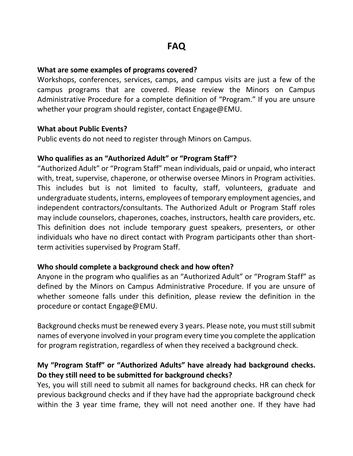#### **What are some examples of programs covered?**

Workshops, conferences, services, camps, and campus visits are just a few of the campus programs that are covered. Please review the Minors on Campus Administrative Procedure for a complete definition of "Program." If you are unsure whether your program should register, contact Engage@EMU.

#### **What about Public Events?**

Public events do not need to register through Minors on Campus.

#### **Who qualifies as an "Authorized Adult" or "Program Staff"?**

"Authorized Adult" or "Program Staff" mean individuals, paid or unpaid, who interact with, treat, supervise, chaperone, or otherwise oversee Minors in Program activities. This includes but is not limited to faculty, staff, volunteers, graduate and undergraduate students, interns, employees of temporary employment agencies, and independent contractors/consultants. The Authorized Adult or Program Staff roles may include counselors, chaperones, coaches, instructors, health care providers, etc. This definition does not include temporary guest speakers, presenters, or other individuals who have no direct contact with Program participants other than shortterm activities supervised by Program Staff.

#### **Who should complete a background check and how often?**

Anyone in the program who qualifies as an "Authorized Adult" or "Program Staff" as defined by the Minors on Campus Administrative Procedure. If you are unsure of whether someone falls under this definition, please review the definition in the procedure or contact Engage@EMU.

Background checks must be renewed every 3 years. Please note, you must still submit names of everyone involved in your program every time you complete the application for program registration, regardless of when they received a background check.

## **My "Program Staff" or "Authorized Adults" have already had background checks. Do they still need to be submitted for background checks?**

Yes, you will still need to submit all names for background checks. HR can check for previous background checks and if they have had the appropriate background check within the 3 year time frame, they will not need another one. If they have had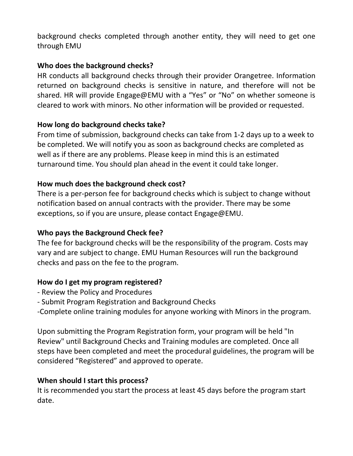background checks completed through another entity, they will need to get one through EMU

## **Who does the background checks?**

HR conducts all background checks through their provider Orangetree. Information returned on background checks is sensitive in nature, and therefore will not be shared. HR will provide Engage@EMU with a "Yes" or "No" on whether someone is cleared to work with minors. No other information will be provided or requested.

## **How long do background checks take?**

From time of submission, background checks can take from 1-2 days up to a week to be completed. We will notify you as soon as background checks are completed as well as if there are any problems. Please keep in mind this is an estimated turnaround time. You should plan ahead in the event it could take longer.

## **How much does the background check cost?**

There is a per-person fee for background checks which is subject to change without notification based on annual contracts with the provider. There may be some exceptions, so if you are unsure, please contact Engage@EMU.

## **Who pays the Background Check fee?**

The fee for background checks will be the responsibility of the program. Costs may vary and are subject to change. EMU Human Resources will run the background checks and pass on the fee to the program.

## **How do I get my program registered?**

- Review the Policy and Procedures
- Submit Program Registration and Background Checks
- -Complete online training modules for anyone working with Minors in the program.

Upon submitting the Program Registration form, your program will be held "In Review" until Background Checks and Training modules are completed. Once all steps have been completed and meet the procedural guidelines, the program will be considered "Registered" and approved to operate.

### **When should I start this process?**

It is recommended you start the process at least 45 days before the program start date.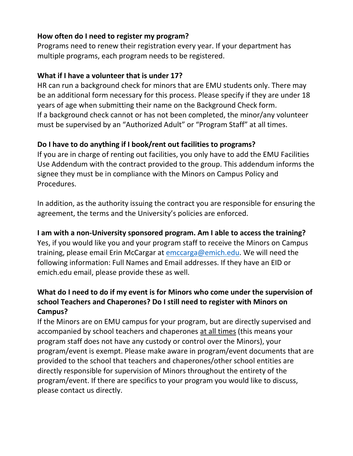## **How often do I need to register my program?**

Programs need to renew their registration every year. If your department has multiple programs, each program needs to be registered.

## **What if I have a volunteer that is under 17?**

HR can run a background check for minors that are EMU students only. There may be an additional form necessary for this process. Please specify if they are under 18 years of age when submitting their name on the Background Check form. If a background check cannot or has not been completed, the minor/any volunteer must be supervised by an "Authorized Adult" or "Program Staff" at all times.

# **Do I have to do anything if I book/rent out facilities to programs?**

If you are in charge of renting out facilities, you only have to add the EMU Facilities Use Addendum with the contract provided to the group. This addendum informs the signee they must be in compliance with the Minors on Campus Policy and Procedures.

In addition, as the authority issuing the contract you are responsible for ensuring the agreement, the terms and the University's policies are enforced.

## **I am with a non-University sponsored program. Am I able to access the training?**

Yes, if you would like you and your program staff to receive the Minors on Campus training, please email Erin McCargar at [emccarga@emich.edu.](emccarga@emich.edu) We will need the following information: Full Names and Email addresses. If they have an EID or emich.edu email, please provide these as well.

# **What do I need to do if my event is for Minors who come under the supervision of school Teachers and Chaperones? Do I still need to register with Minors on Campus?**

If the Minors are on EMU campus for your program, but are directly supervised and accompanied by school teachers and chaperones at all times (this means your program staff does not have any custody or control over the Minors), your program/event is exempt. Please make aware in program/event documents that are provided to the school that teachers and chaperones/other school entities are directly responsible for supervision of Minors throughout the entirety of the program/event. If there are specifics to your program you would like to discuss, please contact us directly.